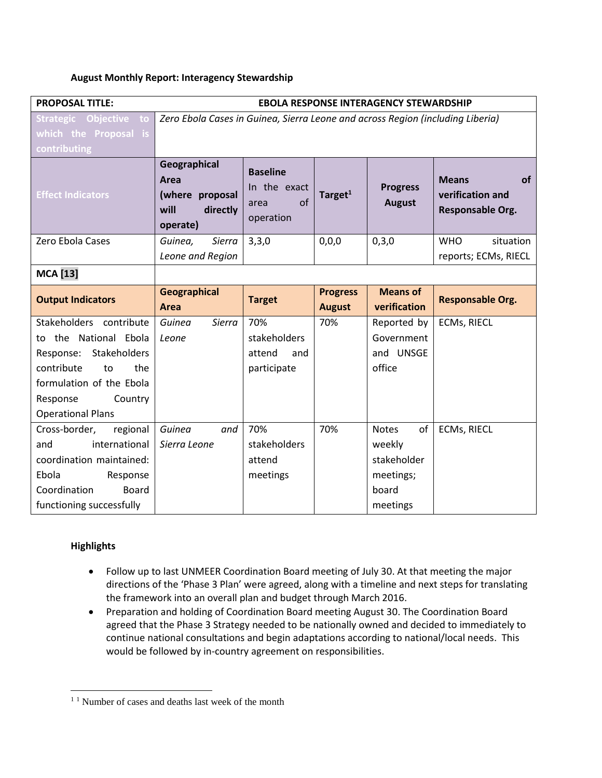## **August Monthly Report: Interagency Stewardship**

| <b>PROPOSAL TITLE:</b>                            | <b>EBOLA RESPONSE INTERAGENCY STEWARDSHIP</b>                                  |                                                            |                                  |                                  |                                                                   |
|---------------------------------------------------|--------------------------------------------------------------------------------|------------------------------------------------------------|----------------------------------|----------------------------------|-------------------------------------------------------------------|
| Strategic Objective to                            | Zero Ebola Cases in Guinea, Sierra Leone and across Region (including Liberia) |                                                            |                                  |                                  |                                                                   |
| which the Proposal is                             |                                                                                |                                                            |                                  |                                  |                                                                   |
| contributing                                      |                                                                                |                                                            |                                  |                                  |                                                                   |
| <b>Effect Indicators</b>                          | Geographical<br>Area<br>(where proposal<br>will<br>directly<br>operate)        | <b>Baseline</b><br>In the exact<br>of<br>area<br>operation | Target $1$                       | <b>Progress</b><br><b>August</b> | <b>of</b><br><b>Means</b><br>verification and<br>Responsable Org. |
| Zero Ebola Cases                                  | Sierra<br>Guinea,                                                              | 3,3,0                                                      | 0,0,0                            | 0,3,0                            | <b>WHO</b><br>situation                                           |
|                                                   | Leone and Region                                                               |                                                            |                                  |                                  | reports; ECMs, RIECL                                              |
| <b>MCA</b> [13]                                   |                                                                                |                                                            |                                  |                                  |                                                                   |
| <b>Output Indicators</b>                          | <b>Geographical</b><br>Area                                                    | <b>Target</b>                                              | <b>Progress</b><br><b>August</b> | <b>Means of</b><br>verification  | <b>Responsable Org.</b>                                           |
| Stakeholders contribute                           | Guinea<br>Sierra                                                               | 70%                                                        | 70%                              | Reported by                      | <b>ECMs, RIECL</b>                                                |
| to the National Ebola                             | Leone                                                                          | stakeholders                                               |                                  | Government                       |                                                                   |
| Response: Stakeholders                            |                                                                                | attend<br>and                                              |                                  | and UNSGE                        |                                                                   |
| contribute<br>the<br>to                           |                                                                                | participate                                                |                                  | office                           |                                                                   |
| formulation of the Ebola                          |                                                                                |                                                            |                                  |                                  |                                                                   |
| Response<br>Country                               |                                                                                |                                                            |                                  |                                  |                                                                   |
| <b>Operational Plans</b>                          |                                                                                |                                                            |                                  |                                  |                                                                   |
| Cross-border,<br>regional                         | Guinea<br>and                                                                  | 70%                                                        | 70%                              | of<br><b>Notes</b>               | <b>ECMs, RIECL</b>                                                |
|                                                   |                                                                                |                                                            |                                  |                                  |                                                                   |
| and<br>international                              | Sierra Leone                                                                   | stakeholders                                               |                                  | weekly                           |                                                                   |
| coordination maintained:                          |                                                                                | attend                                                     |                                  | stakeholder                      |                                                                   |
| Ebola<br>Response                                 |                                                                                | meetings                                                   |                                  | meetings;                        |                                                                   |
| Coordination<br>Board<br>functioning successfully |                                                                                |                                                            |                                  | board<br>meetings                |                                                                   |

# **Highlights**

 $\overline{\phantom{a}}$ 

- Follow up to last UNMEER Coordination Board meeting of July 30. At that meeting the major directions of the 'Phase 3 Plan' were agreed, along with a timeline and next steps for translating the framework into an overall plan and budget through March 2016.
- Preparation and holding of Coordination Board meeting August 30. The Coordination Board agreed that the Phase 3 Strategy needed to be nationally owned and decided to immediately to continue national consultations and begin adaptations according to national/local needs. This would be followed by in-country agreement on responsibilities.

<sup>&</sup>lt;sup>1</sup><sup>1</sup> Number of cases and deaths last week of the month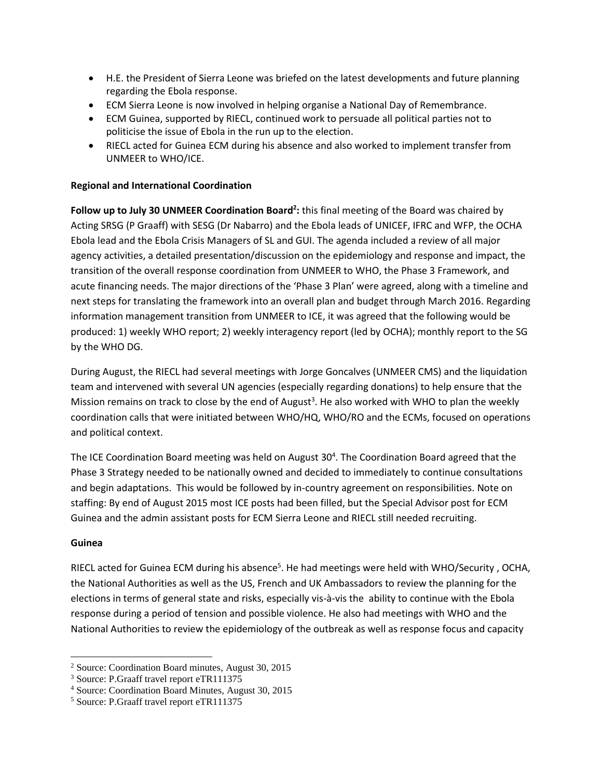- H.E. the President of Sierra Leone was briefed on the latest developments and future planning regarding the Ebola response.
- ECM Sierra Leone is now involved in helping organise a National Day of Remembrance.
- ECM Guinea, supported by RIECL, continued work to persuade all political parties not to politicise the issue of Ebola in the run up to the election.
- RIECL acted for Guinea ECM during his absence and also worked to implement transfer from UNMEER to WHO/ICE.

## **Regional and International Coordination**

**Follow up to July 30 UNMEER Coordination Board<sup>2</sup> :** this final meeting of the Board was chaired by Acting SRSG (P Graaff) with SESG (Dr Nabarro) and the Ebola leads of UNICEF, IFRC and WFP, the OCHA Ebola lead and the Ebola Crisis Managers of SL and GUI. The agenda included a review of all major agency activities, a detailed presentation/discussion on the epidemiology and response and impact, the transition of the overall response coordination from UNMEER to WHO, the Phase 3 Framework, and acute financing needs. The major directions of the 'Phase 3 Plan' were agreed, along with a timeline and next steps for translating the framework into an overall plan and budget through March 2016. Regarding information management transition from UNMEER to ICE, it was agreed that the following would be produced: 1) weekly WHO report; 2) weekly interagency report (led by OCHA); monthly report to the SG by the WHO DG.

During August, the RIECL had several meetings with Jorge Goncalves (UNMEER CMS) and the liquidation team and intervened with several UN agencies (especially regarding donations) to help ensure that the Mission remains on track to close by the end of August<sup>3</sup>. He also worked with WHO to plan the weekly coordination calls that were initiated between WHO/HQ, WHO/RO and the ECMs, focused on operations and political context.

The ICE Coordination Board meeting was held on August 30<sup>4</sup>. The Coordination Board agreed that the Phase 3 Strategy needed to be nationally owned and decided to immediately to continue consultations and begin adaptations. This would be followed by in-country agreement on responsibilities. Note on staffing: By end of August 2015 most ICE posts had been filled, but the Special Advisor post for ECM Guinea and the admin assistant posts for ECM Sierra Leone and RIECL still needed recruiting.

### **Guinea**

RIECL acted for Guinea ECM during his absence<sup>5</sup>. He had meetings were held with WHO/Security, OCHA, the National Authorities as well as the US, French and UK Ambassadors to review the planning for the elections in terms of general state and risks, especially vis-à-vis the ability to continue with the Ebola response during a period of tension and possible violence. He also had meetings with WHO and the National Authorities to review the epidemiology of the outbreak as well as response focus and capacity

 $\overline{\phantom{a}}$ <sup>2</sup> Source: Coordination Board minutes, August 30, 2015

<sup>3</sup> Source: P.Graaff travel report eTR111375

<sup>4</sup> Source: Coordination Board Minutes, August 30, 2015

<sup>5</sup> Source: P.Graaff travel report eTR111375